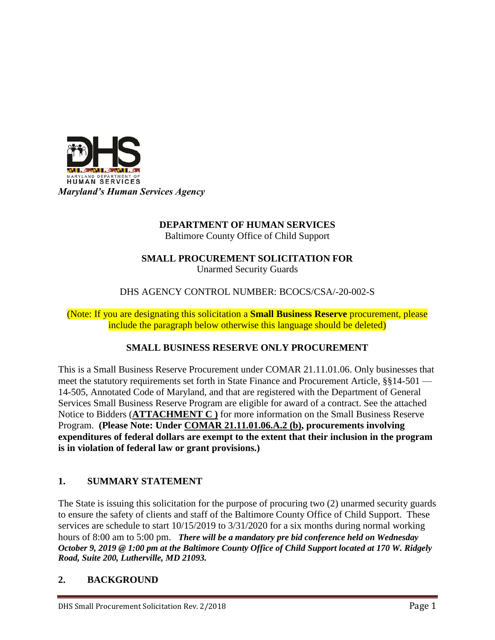

# **DEPARTMENT OF HUMAN SERVICES**

Baltimore County Office of Child Support

# **SMALL PROCUREMENT SOLICITATION FOR**

Unarmed Security Guards

DHS AGENCY CONTROL NUMBER: BCOCS/CSA/-20-002-S

(Note: If you are designating this solicitation a **Small Business Reserve** procurement, please include the paragraph below otherwise this language should be deleted)

# **SMALL BUSINESS RESERVE ONLY PROCUREMENT**

This is a Small Business Reserve Procurement under COMAR 21.11.01.06. Only businesses that meet the statutory requirements set forth in State Finance and Procurement Article, §§14-501 — 14-505, Annotated Code of Maryland, and that are registered with the Department of General Services Small Business Reserve Program are eligible for award of a contract. See the attached Notice to Bidders (**ATTACHMENT C )** for more information on the Small Business Reserve Program. **(Please Note: Under COMAR 21.11.01.06.A.2 (b), procurements involving expenditures of federal dollars are exempt to the extent that their inclusion in the program is in violation of federal law or grant provisions.)**

# **1. SUMMARY STATEMENT**

The State is issuing this solicitation for the purpose of procuring two (2) unarmed security guards to ensure the safety of clients and staff of the Baltimore County Office of Child Support. These services are schedule to start 10/15/2019 to 3/31/2020 for a six months during normal working hours of 8:00 am to 5:00 pm. *There will be a mandatory pre bid conference held on Wednesday October 9, 2019 @ 1:00 pm at the Baltimore County Office of Child Support located at 170 W. Ridgely Road, Suite 200, Lutherville, MD 21093.* 

### **2. BACKGROUND**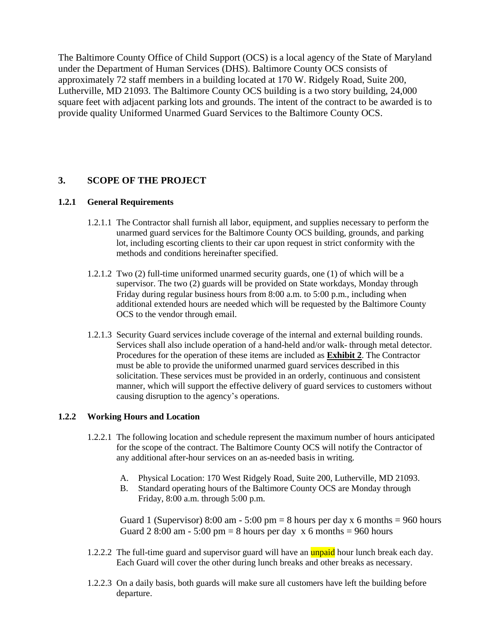The Baltimore County Office of Child Support (OCS) is a local agency of the State of Maryland under the Department of Human Services (DHS). Baltimore County OCS consists of approximately 72 staff members in a building located at 170 W. Ridgely Road, Suite 200, Lutherville, MD 21093. The Baltimore County OCS building is a two story building, 24,000 square feet with adjacent parking lots and grounds. The intent of the contract to be awarded is to provide quality Uniformed Unarmed Guard Services to the Baltimore County OCS.

### **3. SCOPE OF THE PROJECT**

#### **1.2.1 General Requirements**

- 1.2.1.1 The Contractor shall furnish all labor, equipment, and supplies necessary to perform the unarmed guard services for the Baltimore County OCS building, grounds, and parking lot, including escorting clients to their car upon request in strict conformity with the methods and conditions hereinafter specified.
- 1.2.1.2 Two (2) full-time uniformed unarmed security guards, one (1) of which will be a supervisor. The two (2) guards will be provided on State workdays, Monday through Friday during regular business hours from 8:00 a.m. to 5:00 p.m., including when additional extended hours are needed which will be requested by the Baltimore County OCS to the vendor through email.
- 1.2.1.3 Security Guard services include coverage of the internal and external building rounds. Services shall also include operation of a hand-held and/or walk- through metal detector. Procedures for the operation of these items are included as **Exhibit 2**. The Contractor must be able to provide the uniformed unarmed guard services described in this solicitation. These services must be provided in an orderly, continuous and consistent manner, which will support the effective delivery of guard services to customers without causing disruption to the agency's operations.

#### **1.2.2 Working Hours and Location**

- 1.2.2.1 The following location and schedule represent the maximum number of hours anticipated for the scope of the contract. The Baltimore County OCS will notify the Contractor of any additional after-hour services on an as-needed basis in writing.
	- A. Physical Location: 170 West Ridgely Road, Suite 200, Lutherville, MD 21093.
	- B. Standard operating hours of the Baltimore County OCS are Monday through Friday,  $8:00$  a.m. through  $5:00$  p.m.

Guard 1 (Supervisor) 8:00 am - 5:00 pm = 8 hours per day x 6 months = 960 hours Guard 2 8:00 am - 5:00 pm = 8 hours per day  $x$  6 months = 960 hours

- 1.2.2.2 The full-time guard and supervisor guard will have an **unpaid** hour lunch break each day. Each Guard will cover the other during lunch breaks and other breaks as necessary.
- 1.2.2.3 On a daily basis, both guards will make sure all customers have left the building before departure.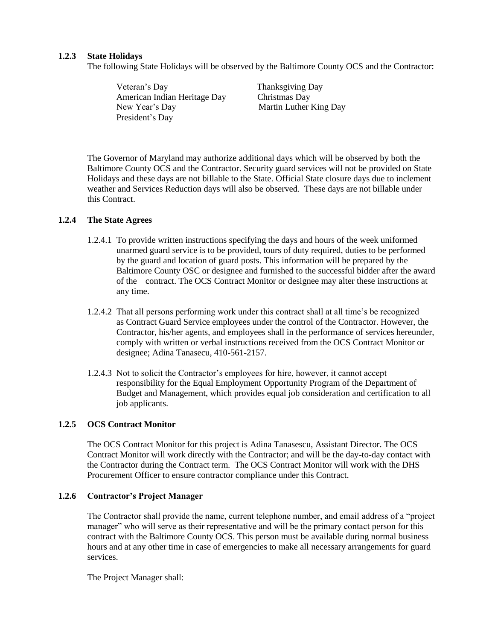#### **1.2.3 State Holidays**

The following State Holidays will be observed by the Baltimore County OCS and the Contractor:

Veteran's Day Thanksgiving Day American Indian Heritage Day Christmas Day New Year's Day Martin Luther King Day President's Day

The Governor of Maryland may authorize additional days which will be observed by both the Baltimore County OCS and the Contractor. Security guard services will not be provided on State Holidays and these days are not billable to the State. Official State closure days due to inclement weather and Services Reduction days will also be observed. These days are not billable under this Contract.

#### **1.2.4 The State Agrees**

- 1.2.4.1 To provide written instructions specifying the days and hours of the week uniformed unarmed guard service is to be provided, tours of duty required, duties to be performed by the guard and location of guard posts. This information will be prepared by the Baltimore County OSC or designee and furnished to the successful bidder after the award of the contract. The OCS Contract Monitor or designee may alter these instructions at any time.
- 1.2.4.2 That all persons performing work under this contract shall at all time's be recognized as Contract Guard Service employees under the control of the Contractor. However, the Contractor, his/her agents, and employees shall in the performance of services hereunder, comply with written or verbal instructions received from the OCS Contract Monitor or designee; Adina Tanasecu, 410-561-2157.
- 1.2.4.3 Not to solicit the Contractor's employees for hire, however, it cannot accept responsibility for the Equal Employment Opportunity Program of the Department of Budget and Management, which provides equal job consideration and certification to all job applicants.

#### **1.2.5 OCS Contract Monitor**

The OCS Contract Monitor for this project is Adina Tanasescu, Assistant Director. The OCS Contract Monitor will work directly with the Contractor; and will be the day-to-day contact with the Contractor during the Contract term. The OCS Contract Monitor will work with the DHS Procurement Officer to ensure contractor compliance under this Contract.

#### **1.2.6 Contractor's Project Manager**

The Contractor shall provide the name, current telephone number, and email address of a "project manager" who will serve as their representative and will be the primary contact person for this contract with the Baltimore County OCS. This person must be available during normal business hours and at any other time in case of emergencies to make all necessary arrangements for guard services.

The Project Manager shall: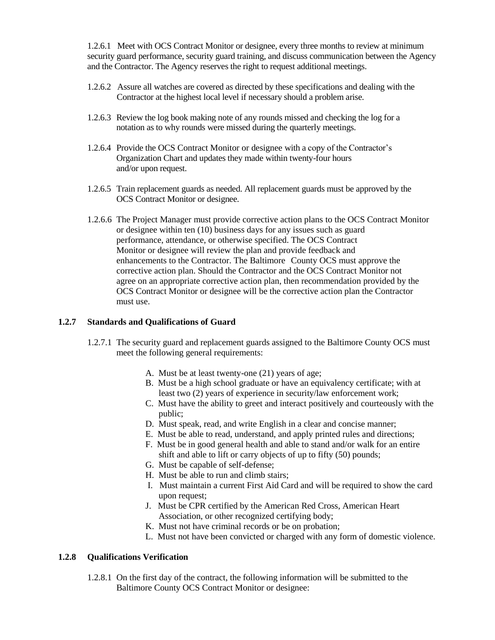1.2.6.1 Meet with OCS Contract Monitor or designee, every three months to review at minimum security guard performance, security guard training, and discuss communication between the Agency and the Contractor. The Agency reserves the right to request additional meetings.

- 1.2.6.2 Assure all watches are covered as directed by these specifications and dealing with the Contractor at the highest local level if necessary should a problem arise.
- 1.2.6.3 Review the log book making note of any rounds missed and checking the log for a notation as to why rounds were missed during the quarterly meetings.
- 1.2.6.4 Provide the OCS Contract Monitor or designee with a copy of the Contractor's Organization Chart and updates they made within twenty-four hours and/or upon request.
- 1.2.6.5 Train replacement guards as needed. All replacement guards must be approved by the OCS Contract Monitor or designee.
- 1.2.6.6 The Project Manager must provide corrective action plans to the OCS Contract Monitor or designee within ten (10) business days for any issues such as guard performance, attendance, or otherwise specified. The OCS Contract Monitor or designee will review the plan and provide feedback and enhancements to the Contractor. The Baltimore County OCS must approve the corrective action plan. Should the Contractor and the OCS Contract Monitor not agree on an appropriate corrective action plan, then recommendation provided by the OCS Contract Monitor or designee will be the corrective action plan the Contractor must use.

#### **1.2.7 Standards and Qualifications of Guard**

- 1.2.7.1 The security guard and replacement guards assigned to the Baltimore County OCS must meet the following general requirements:
	- A. Must be at least twenty-one (21) years of age;
	- B. Must be a high school graduate or have an equivalency certificate; with at least two (2) years of experience in security/law enforcement work;
	- C. Must have the ability to greet and interact positively and courteously with the public;
	- D. Must speak, read, and write English in a clear and concise manner;
	- E. Must be able to read, understand, and apply printed rules and directions;
	- F. Must be in good general health and able to stand and/or walk for an entire shift and able to lift or carry objects of up to fifty (50) pounds;
	- G. Must be capable of self-defense;
	- H. Must be able to run and climb stairs;
	- I. Must maintain a current First Aid Card and will be required to show the card upon request;
	- J. Must be CPR certified by the American Red Cross, American Heart Association, or other recognized certifying body;
	- K. Must not have criminal records or be on probation;
	- L. Must not have been convicted or charged with any form of domestic violence.

#### **1.2.8 Qualifications Verification**

1.2.8.1 On the first day of the contract, the following information will be submitted to the Baltimore County OCS Contract Monitor or designee: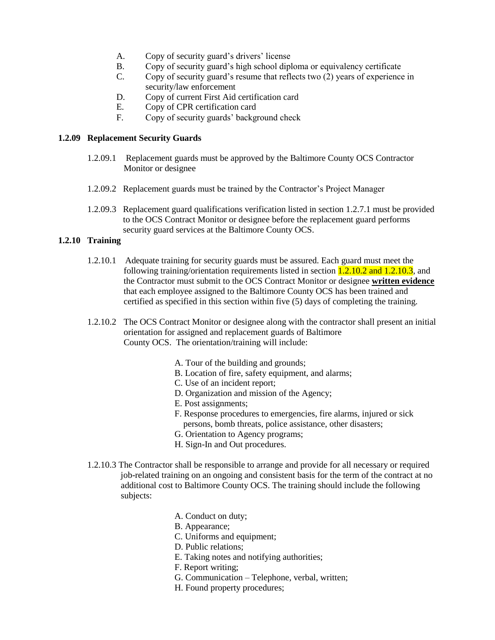- A. Copy of security guard's drivers' license
- B. Copy of security guard's high school diploma or equivalency certificate
- C. Copy of security guard's resume that reflects two (2) years of experience in security/law enforcement
- D. Copy of current First Aid certification card
- E. Copy of CPR certification card
- F. Copy of security guards' background check

#### **1.2.09 Replacement Security Guards**

- 1.2.09.1 Replacement guards must be approved by the Baltimore County OCS Contractor Monitor or designee
- 1.2.09.2 Replacement guards must be trained by the Contractor's Project Manager
- 1.2.09.3 Replacement guard qualifications verification listed in section 1.2.7.1 must be provided to the OCS Contract Monitor or designee before the replacement guard performs security guard services at the Baltimore County OCS.

#### **1.2.10 Training**

- 1.2.10.1 Adequate training for security guards must be assured. Each guard must meet the following training/orientation requirements listed in section  $1.2.10.2$  and  $1.2.10.3$ , and the Contractor must submit to the OCS Contract Monitor or designee **written evidence** that each employee assigned to the Baltimore County OCS has been trained and certified as specified in this section within five (5) days of completing the training.
- 1.2.10.2 The OCS Contract Monitor or designee along with the contractor shall present an initial orientation for assigned and replacement guards of Baltimore County OCS. The orientation/training will include:
	- A. Tour of the building and grounds;
	- B. Location of fire, safety equipment, and alarms;
	- C. Use of an incident report;
	- D. Organization and mission of the Agency;
	- E. Post assignments;
	- F. Response procedures to emergencies, fire alarms, injured or sick persons, bomb threats, police assistance, other disasters;
	- G. Orientation to Agency programs;
	- H. Sign-In and Out procedures.
- 1.2.10.3 The Contractor shall be responsible to arrange and provide for all necessary or required job-related training on an ongoing and consistent basis for the term of the contract at no additional cost to Baltimore County OCS. The training should include the following subjects:
	- A. Conduct on duty;
	- B. Appearance;
	- C. Uniforms and equipment;
	- D. Public relations;
	- E. Taking notes and notifying authorities;
	- F. Report writing;
	- G. Communication Telephone, verbal, written;
	- H. Found property procedures;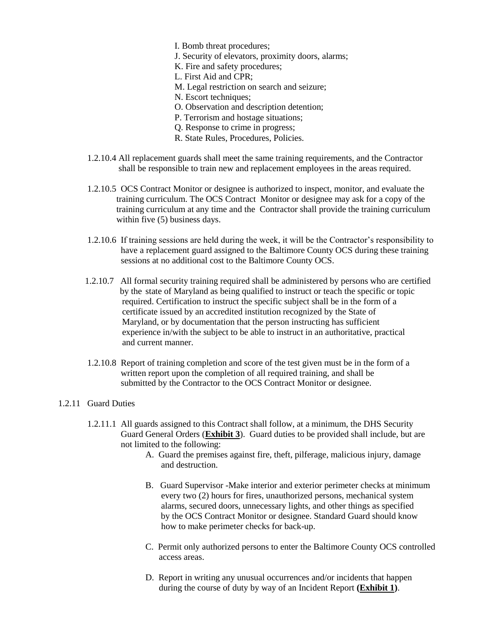- I. Bomb threat procedures;
- J. Security of elevators, proximity doors, alarms;
- K. Fire and safety procedures;
- L. First Aid and CPR;
- M. Legal restriction on search and seizure;
- N. Escort techniques;
- O. Observation and description detention;
- P. Terrorism and hostage situations;
- Q. Response to crime in progress;
- R. State Rules, Procedures, Policies.
- 1.2.10.4 All replacement guards shall meet the same training requirements, and the Contractor shall be responsible to train new and replacement employees in the areas required.
- 1.2.10.5 OCS Contract Monitor or designee is authorized to inspect, monitor, and evaluate the training curriculum. The OCS Contract Monitor or designee may ask for a copy of the training curriculum at any time and the Contractor shall provide the training curriculum within five (5) business days.
- 1.2.10.6 If training sessions are held during the week, it will be the Contractor's responsibility to have a replacement guard assigned to the Baltimore County OCS during these training sessions at no additional cost to the Baltimore County OCS.
- 1.2.10.7 All formal security training required shall be administered by persons who are certified by the state of Maryland as being qualified to instruct or teach the specific or topic required. Certification to instruct the specific subject shall be in the form of a certificate issued by an accredited institution recognized by the State of Maryland, or by documentation that the person instructing has sufficient experience in/with the subject to be able to instruct in an authoritative, practical and current manner.
- 1.2.10.8 Report of training completion and score of the test given must be in the form of a written report upon the completion of all required training, and shall be submitted by the Contractor to the OCS Contract Monitor or designee.

#### 1.2.11 Guard Duties

- 1.2.11.1 All guards assigned to this Contract shall follow, at a minimum, the DHS Security Guard General Orders (**Exhibit 3**). Guard duties to be provided shall include, but are not limited to the following:
	- A. Guard the premises against fire, theft, pilferage, malicious injury, damage and destruction.
	- B. Guard Supervisor -Make interior and exterior perimeter checks at minimum every two (2) hours for fires, unauthorized persons, mechanical system alarms, secured doors, unnecessary lights, and other things as specified by the OCS Contract Monitor or designee. Standard Guard should know how to make perimeter checks for back-up.
	- C. Permit only authorized persons to enter the Baltimore County OCS controlled access areas.
	- D. Report in writing any unusual occurrences and/or incidents that happen during the course of duty by way of an Incident Report **(Exhibit 1)**.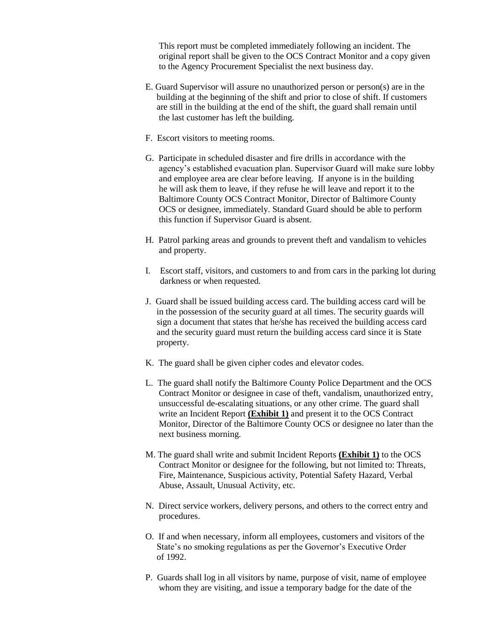This report must be completed immediately following an incident. The original report shall be given to the OCS Contract Monitor and a copy given to the Agency Procurement Specialist the next business day.

- E. Guard Supervisor will assure no unauthorized person or person(s) are in the building at the beginning of the shift and prior to close of shift. If customers are still in the building at the end of the shift, the guard shall remain until the last customer has left the building.
- F. Escort visitors to meeting rooms.
- G. Participate in scheduled disaster and fire drills in accordance with the agency's established evacuation plan. Supervisor Guard will make sure lobby and employee area are clear before leaving. If anyone is in the building he will ask them to leave, if they refuse he will leave and report it to the Baltimore County OCS Contract Monitor, Director of Baltimore County OCS or designee, immediately. Standard Guard should be able to perform this function if Supervisor Guard is absent.
- H. Patrol parking areas and grounds to prevent theft and vandalism to vehicles and property.
- I. Escort staff, visitors, and customers to and from cars in the parking lot during darkness or when requested.
- J. Guard shall be issued building access card. The building access card will be in the possession of the security guard at all times. The security guards will sign a document that states that he/she has received the building access card and the security guard must return the building access card since it is State property.
- K. The guard shall be given cipher codes and elevator codes.
- L. The guard shall notify the Baltimore County Police Department and the OCS Contract Monitor or designee in case of theft, vandalism, unauthorized entry, unsuccessful de-escalating situations, or any other crime. The guard shall write an Incident Report **(Exhibit 1)** and present it to the OCS Contract Monitor, Director of the Baltimore County OCS or designee no later than the next business morning.
- M. The guard shall write and submit Incident Reports **(Exhibit 1)** to the OCS Contract Monitor or designee for the following, but not limited to: Threats, Fire, Maintenance, Suspicious activity, Potential Safety Hazard, Verbal Abuse, Assault, Unusual Activity, etc.
- N. Direct service workers, delivery persons, and others to the correct entry and procedures.
- O. If and when necessary, inform all employees, customers and visitors of the State's no smoking regulations as per the Governor's Executive Order of 1992.
- P. Guards shall log in all visitors by name, purpose of visit, name of employee whom they are visiting, and issue a temporary badge for the date of the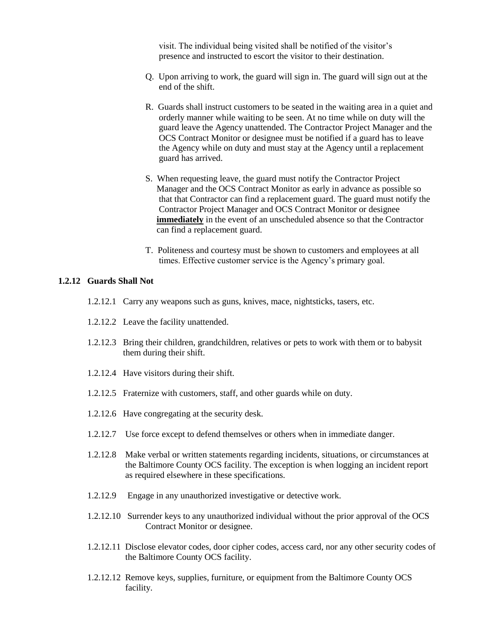visit. The individual being visited shall be notified of the visitor's presence and instructed to escort the visitor to their destination.

- Q. Upon arriving to work, the guard will sign in. The guard will sign out at the end of the shift.
- R. Guards shall instruct customers to be seated in the waiting area in a quiet and orderly manner while waiting to be seen. At no time while on duty will the guard leave the Agency unattended. The Contractor Project Manager and the OCS Contract Monitor or designee must be notified if a guard has to leave the Agency while on duty and must stay at the Agency until a replacement guard has arrived.
- S. When requesting leave, the guard must notify the Contractor Project Manager and the OCS Contract Monitor as early in advance as possible so that that Contractor can find a replacement guard. The guard must notify the Contractor Project Manager and OCS Contract Monitor or designee **immediately** in the event of an unscheduled absence so that the Contractor can find a replacement guard.
- T. Politeness and courtesy must be shown to customers and employees at all times. Effective customer service is the Agency's primary goal.

#### **1.2.12 Guards Shall Not**

- 1.2.12.1 Carry any weapons such as guns, knives, mace, nightsticks, tasers, etc.
- 1.2.12.2 Leave the facility unattended.
- 1.2.12.3 Bring their children, grandchildren, relatives or pets to work with them or to babysit them during their shift.
- 1.2.12.4 Have visitors during their shift.
- 1.2.12.5 Fraternize with customers, staff, and other guards while on duty.
- 1.2.12.6 Have congregating at the security desk.
- 1.2.12.7 Use force except to defend themselves or others when in immediate danger.
- 1.2.12.8 Make verbal or written statements regarding incidents, situations, or circumstances at the Baltimore County OCS facility. The exception is when logging an incident report as required elsewhere in these specifications.
- 1.2.12.9 Engage in any unauthorized investigative or detective work.
- 1.2.12.10 Surrender keys to any unauthorized individual without the prior approval of the OCS Contract Monitor or designee.
- 1.2.12.11 Disclose elevator codes, door cipher codes, access card, nor any other security codes of the Baltimore County OCS facility.
- 1.2.12.12 Remove keys, supplies, furniture, or equipment from the Baltimore County OCS facility.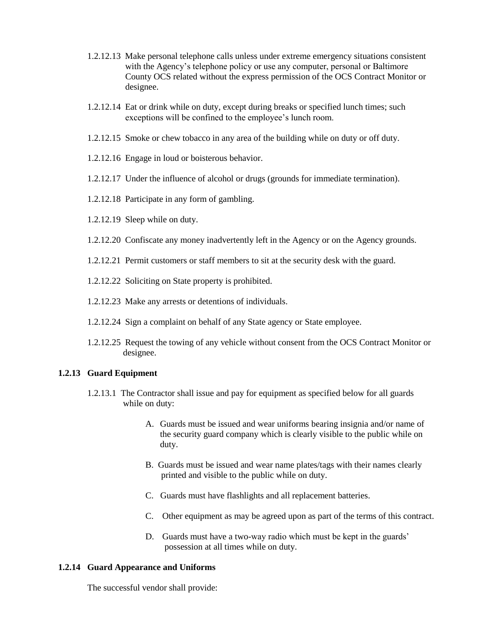- 1.2.12.13 Make personal telephone calls unless under extreme emergency situations consistent with the Agency's telephone policy or use any computer, personal or Baltimore County OCS related without the express permission of the OCS Contract Monitor or designee.
- 1.2.12.14 Eat or drink while on duty, except during breaks or specified lunch times; such exceptions will be confined to the employee's lunch room.
- 1.2.12.15 Smoke or chew tobacco in any area of the building while on duty or off duty.
- 1.2.12.16 Engage in loud or boisterous behavior.
- 1.2.12.17 Under the influence of alcohol or drugs (grounds for immediate termination).
- 1.2.12.18 Participate in any form of gambling.
- 1.2.12.19 Sleep while on duty.
- 1.2.12.20 Confiscate any money inadvertently left in the Agency or on the Agency grounds.
- 1.2.12.21 Permit customers or staff members to sit at the security desk with the guard.
- 1.2.12.22 Soliciting on State property is prohibited.
- 1.2.12.23 Make any arrests or detentions of individuals.
- 1.2.12.24 Sign a complaint on behalf of any State agency or State employee.
- 1.2.12.25 Request the towing of any vehicle without consent from the OCS Contract Monitor or designee.

#### **1.2.13 Guard Equipment**

- 1.2.13.1 The Contractor shall issue and pay for equipment as specified below for all guards while on duty:
	- A. Guards must be issued and wear uniforms bearing insignia and/or name of the security guard company which is clearly visible to the public while on duty.
	- B. Guards must be issued and wear name plates/tags with their names clearly printed and visible to the public while on duty.
	- C. Guards must have flashlights and all replacement batteries.
	- C. Other equipment as may be agreed upon as part of the terms of this contract.
	- D. Guards must have a two-way radio which must be kept in the guards' possession at all times while on duty.

#### **1.2.14 Guard Appearance and Uniforms**

The successful vendor shall provide: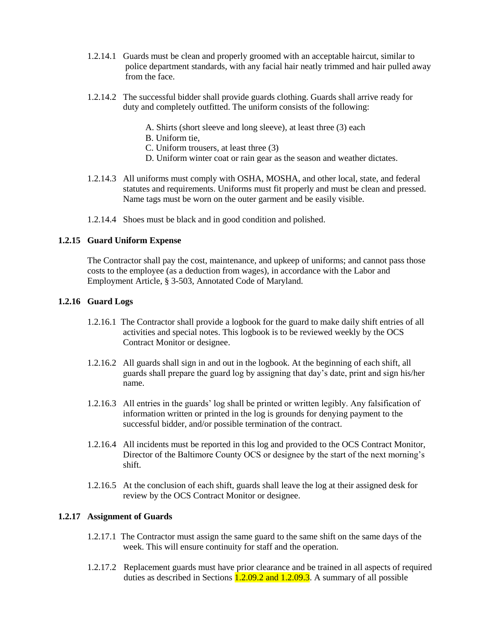- 1.2.14.1 Guards must be clean and properly groomed with an acceptable haircut, similar to police department standards, with any facial hair neatly trimmed and hair pulled away from the face.
- 1.2.14.2 The successful bidder shall provide guards clothing. Guards shall arrive ready for duty and completely outfitted. The uniform consists of the following:
	- A. Shirts (short sleeve and long sleeve), at least three (3) each
	- B. Uniform tie,
	- C. Uniform trousers, at least three (3)
	- D. Uniform winter coat or rain gear as the season and weather dictates.
- 1.2.14.3 All uniforms must comply with OSHA, MOSHA, and other local, state, and federal statutes and requirements. Uniforms must fit properly and must be clean and pressed. Name tags must be worn on the outer garment and be easily visible.
- 1.2.14.4 Shoes must be black and in good condition and polished.

#### **1.2.15 Guard Uniform Expense**

The Contractor shall pay the cost, maintenance, and upkeep of uniforms; and cannot pass those costs to the employee (as a deduction from wages), in accordance with the Labor and Employment Article, § 3-503, Annotated Code of Maryland.

#### **1.2.16 Guard Logs**

- 1.2.16.1 The Contractor shall provide a logbook for the guard to make daily shift entries of all activities and special notes. This logbook is to be reviewed weekly by the OCS Contract Monitor or designee.
- 1.2.16.2 All guards shall sign in and out in the logbook. At the beginning of each shift, all guards shall prepare the guard log by assigning that day's date, print and sign his/her name.
- 1.2.16.3 All entries in the guards' log shall be printed or written legibly. Any falsification of information written or printed in the log is grounds for denying payment to the successful bidder, and/or possible termination of the contract.
- 1.2.16.4 All incidents must be reported in this log and provided to the OCS Contract Monitor, Director of the Baltimore County OCS or designee by the start of the next morning's shift.
- 1.2.16.5 At the conclusion of each shift, guards shall leave the log at their assigned desk for review by the OCS Contract Monitor or designee.

#### **1.2.17 Assignment of Guards**

- 1.2.17.1 The Contractor must assign the same guard to the same shift on the same days of the week. This will ensure continuity for staff and the operation.
- 1.2.17.2 Replacement guards must have prior clearance and be trained in all aspects of required duties as described in Sections  $1.2.09.2$  and  $1.2.09.3$ . A summary of all possible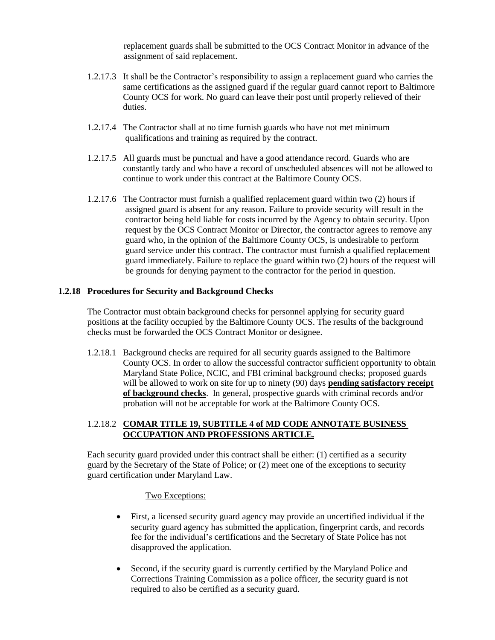replacement guards shall be submitted to the OCS Contract Monitor in advance of the assignment of said replacement.

- 1.2.17.3 It shall be the Contractor's responsibility to assign a replacement guard who carries the same certifications as the assigned guard if the regular guard cannot report to Baltimore County OCS for work. No guard can leave their post until properly relieved of their duties.
- 1.2.17.4 The Contractor shall at no time furnish guards who have not met minimum qualifications and training as required by the contract.
- 1.2.17.5 All guards must be punctual and have a good attendance record. Guards who are constantly tardy and who have a record of unscheduled absences will not be allowed to continue to work under this contract at the Baltimore County OCS.
- 1.2.17.6 The Contractor must furnish a qualified replacement guard within two (2) hours if assigned guard is absent for any reason. Failure to provide security will result in the contractor being held liable for costs incurred by the Agency to obtain security. Upon request by the OCS Contract Monitor or Director, the contractor agrees to remove any guard who, in the opinion of the Baltimore County OCS, is undesirable to perform guard service under this contract. The contractor must furnish a qualified replacement guard immediately. Failure to replace the guard within two (2) hours of the request will be grounds for denying payment to the contractor for the period in question.

#### **1.2.18 Procedures for Security and Background Checks**

The Contractor must obtain background checks for personnel applying for security guard positions at the facility occupied by the Baltimore County OCS. The results of the background checks must be forwarded the OCS Contract Monitor or designee.

1.2.18.1 Background checks are required for all security guards assigned to the Baltimore County OCS. In order to allow the successful contractor sufficient opportunity to obtain Maryland State Police, NCIC, and FBI criminal background checks; proposed guards will be allowed to work on site for up to ninety (90) days **pending satisfactory receipt of background checks**. In general, prospective guards with criminal records and/or probation will not be acceptable for work at the Baltimore County OCS.

#### 1.2.18.2 **COMAR TITLE 19, SUBTITLE 4 of MD CODE ANNOTATE BUSINESS OCCUPATION AND PROFESSIONS ARTICLE.**

 Each security guard provided under this contract shall be either: (1) certified as a security guard by the Secretary of the State of Police; or (2) meet one of the exceptions to security guard certification under Maryland Law.

#### Two Exceptions:

- First, a licensed security guard agency may provide an uncertified individual if the security guard agency has submitted the application, fingerprint cards, and records fee for the individual's certifications and the Secretary of State Police has not disapproved the application.
- Second, if the security guard is currently certified by the Maryland Police and Corrections Training Commission as a police officer, the security guard is not required to also be certified as a security guard.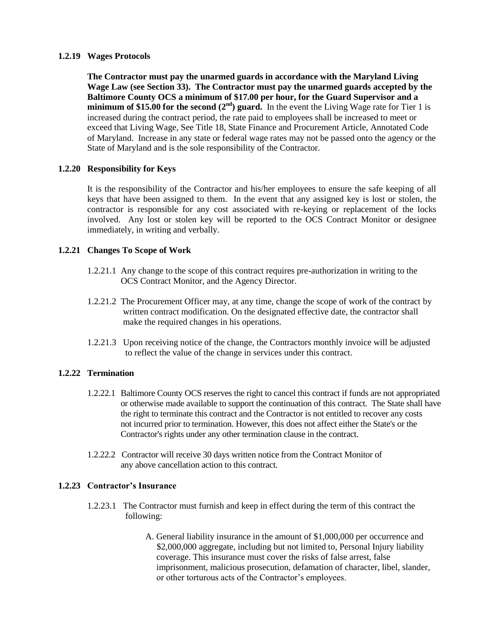#### **1.2.19 Wages Protocols**

**The Contractor must pay the unarmed guards in accordance with the Maryland Living Wage Law (see Section 33). The Contractor must pay the unarmed guards accepted by the Baltimore County OCS a minimum of \$17.00 per hour, for the Guard Supervisor and a minimum of \$15.00 for the second**  $(2<sup>nd</sup>)$  **guard.** In the event the Living Wage rate for Tier 1 is increased during the contract period, the rate paid to employees shall be increased to meet or exceed that Living Wage, See Title 18, State Finance and Procurement Article, Annotated Code of Maryland. Increase in any state or federal wage rates may not be passed onto the agency or the State of Maryland and is the sole responsibility of the Contractor.

#### **1.2.20 Responsibility for Keys**

It is the responsibility of the Contractor and his/her employees to ensure the safe keeping of all keys that have been assigned to them. In the event that any assigned key is lost or stolen, the contractor is responsible for any cost associated with re-keying or replacement of the locks involved. Any lost or stolen key will be reported to the OCS Contract Monitor or designee immediately, in writing and verbally.

#### **1.2.21 Changes To Scope of Work**

- 1.2.21.1 Any change to the scope of this contract requires pre-authorization in writing to the OCS Contract Monitor, and the Agency Director.
- 1.2.21.2 The Procurement Officer may, at any time, change the scope of work of the contract by written contract modification. On the designated effective date, the contractor shall make the required changes in his operations.
- 1.2.21.3 Upon receiving notice of the change, the Contractors monthly invoice will be adjusted to reflect the value of the change in services under this contract.

#### **1.2.22 Termination**

- 1.2.22.1 Baltimore County OCS reserves the right to cancel this contract if funds are not appropriated or otherwise made available to support the continuation of this contract. The State shall have the right to terminate this contract and the Contractor is not entitled to recover any costs not incurred prior to termination. However, this does not affect either the State's or the Contractor's rights under any other termination clause in the contract.
- 1.2.22.2 Contractor will receive 30 days written notice from the Contract Monitor of any above cancellation action to this contract.

#### **1.2.23 Contractor's Insurance**

- 1.2.23.1 The Contractor must furnish and keep in effect during the term of this contract the following:
	- A. General liability insurance in the amount of \$1,000,000 per occurrence and \$2,000,000 aggregate, including but not limited to, Personal Injury liability coverage. This insurance must cover the risks of false arrest, false imprisonment, malicious prosecution, defamation of character, libel, slander, or other torturous acts of the Contractor's employees.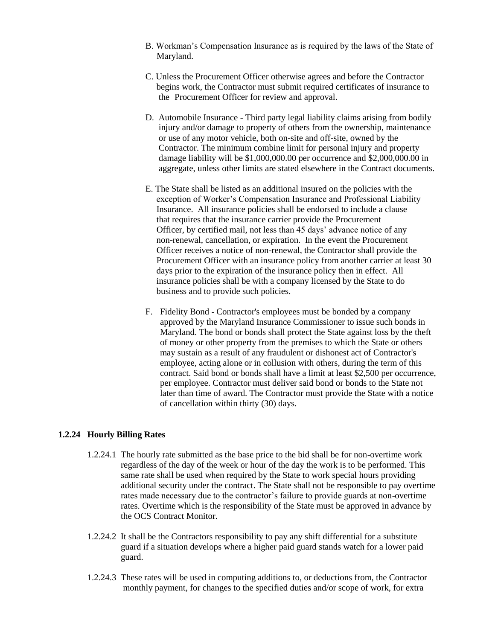- B. Workman's Compensation Insurance as is required by the laws of the State of Maryland.
- C. Unless the Procurement Officer otherwise agrees and before the Contractor begins work, the Contractor must submit required certificates of insurance to the Procurement Officer for review and approval.
- D. Automobile Insurance Third party legal liability claims arising from bodily injury and/or damage to property of others from the ownership, maintenance or use of any motor vehicle, both on-site and off-site, owned by the Contractor. The minimum combine limit for personal injury and property damage liability will be \$1,000,000.00 per occurrence and \$2,000,000.00 in aggregate, unless other limits are stated elsewhere in the Contract documents.
- E. The State shall be listed as an additional insured on the policies with the exception of Worker's Compensation Insurance and Professional Liability Insurance. All insurance policies shall be endorsed to include a clause that requires that the insurance carrier provide the Procurement Officer, by certified mail, not less than 45 days' advance notice of any non-renewal, cancellation, or expiration. In the event the Procurement Officer receives a notice of non-renewal, the Contractor shall provide the Procurement Officer with an insurance policy from another carrier at least 30 days prior to the expiration of the insurance policy then in effect. All insurance policies shall be with a company licensed by the State to do business and to provide such policies.
- F. Fidelity Bond Contractor's employees must be bonded by a company approved by the Maryland Insurance Commissioner to issue such bonds in Maryland. The bond or bonds shall protect the State against loss by the theft of money or other property from the premises to which the State or others may sustain as a result of any fraudulent or dishonest act of Contractor's employee, acting alone or in collusion with others, during the term of this contract. Said bond or bonds shall have a limit at least \$2,500 per occurrence, per employee. Contractor must deliver said bond or bonds to the State not later than time of award. The Contractor must provide the State with a notice of cancellation within thirty (30) days.

#### **1.2.24 Hourly Billing Rates**

- 1.2.24.1 The hourly rate submitted as the base price to the bid shall be for non-overtime work regardless of the day of the week or hour of the day the work is to be performed. This same rate shall be used when required by the State to work special hours providing additional security under the contract. The State shall not be responsible to pay overtime rates made necessary due to the contractor's failure to provide guards at non-overtime rates. Overtime which is the responsibility of the State must be approved in advance by the OCS Contract Monitor.
- 1.2.24.2 It shall be the Contractors responsibility to pay any shift differential for a substitute guard if a situation develops where a higher paid guard stands watch for a lower paid guard.
- 1.2.24.3 These rates will be used in computing additions to, or deductions from, the Contractor monthly payment, for changes to the specified duties and/or scope of work, for extra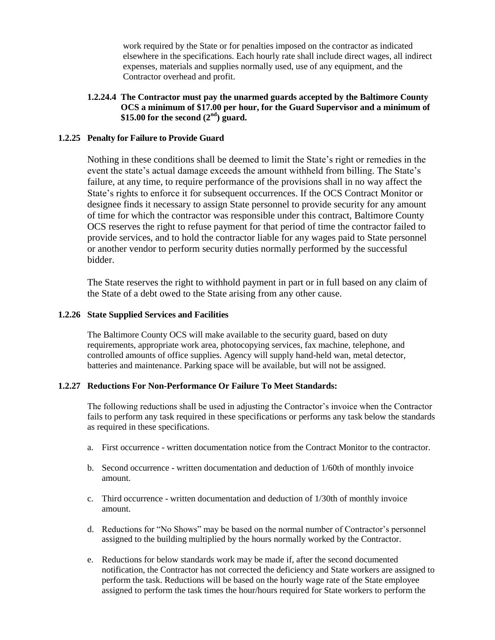work required by the State or for penalties imposed on the contractor as indicated elsewhere in the specifications. Each hourly rate shall include direct wages, all indirect expenses, materials and supplies normally used, use of any equipment, and the Contractor overhead and profit.

#### **1.2.24.4 The Contractor must pay the unarmed guards accepted by the Baltimore County OCS a minimum of \$17.00 per hour, for the Guard Supervisor and a minimum of \$15.00 for the second (2nd) guard.**

#### **1.2.25 Penalty for Failure to Provide Guard**

Nothing in these conditions shall be deemed to limit the State's right or remedies in the event the state's actual damage exceeds the amount withheld from billing. The State's failure, at any time, to require performance of the provisions shall in no way affect the State's rights to enforce it for subsequent occurrences. If the OCS Contract Monitor or designee finds it necessary to assign State personnel to provide security for any amount of time for which the contractor was responsible under this contract, Baltimore County OCS reserves the right to refuse payment for that period of time the contractor failed to provide services, and to hold the contractor liable for any wages paid to State personnel or another vendor to perform security duties normally performed by the successful bidder.

The State reserves the right to withhold payment in part or in full based on any claim of the State of a debt owed to the State arising from any other cause.

#### **1.2.26 State Supplied Services and Facilities**

The Baltimore County OCS will make available to the security guard, based on duty requirements, appropriate work area, photocopying services, fax machine, telephone, and controlled amounts of office supplies. Agency will supply hand-held wan, metal detector, batteries and maintenance. Parking space will be available, but will not be assigned.

#### **1.2.27 Reductions For Non-Performance Or Failure To Meet Standards:**

The following reductions shall be used in adjusting the Contractor's invoice when the Contractor fails to perform any task required in these specifications or performs any task below the standards as required in these specifications.

- a. First occurrence written documentation notice from the Contract Monitor to the contractor.
- b. Second occurrence written documentation and deduction of 1/60th of monthly invoice amount.
- c. Third occurrence written documentation and deduction of 1/30th of monthly invoice amount.
- d. Reductions for "No Shows" may be based on the normal number of Contractor's personnel assigned to the building multiplied by the hours normally worked by the Contractor.
- e. Reductions for below standards work may be made if, after the second documented notification, the Contractor has not corrected the deficiency and State workers are assigned to perform the task. Reductions will be based on the hourly wage rate of the State employee assigned to perform the task times the hour/hours required for State workers to perform the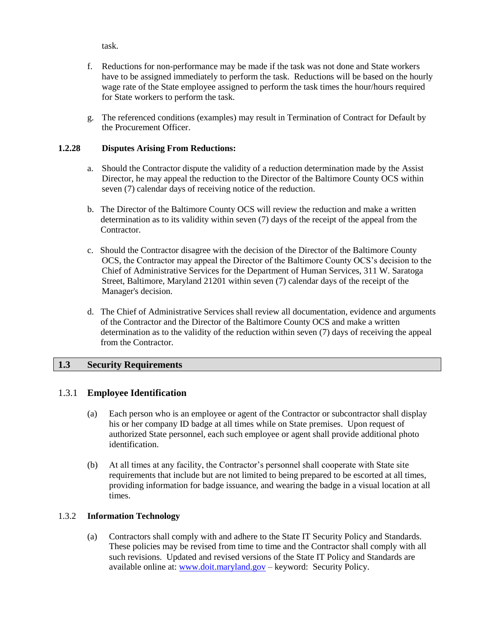task.

- f. Reductions for non-performance may be made if the task was not done and State workers have to be assigned immediately to perform the task. Reductions will be based on the hourly wage rate of the State employee assigned to perform the task times the hour/hours required for State workers to perform the task.
- g. The referenced conditions (examples) may result in Termination of Contract for Default by the Procurement Officer.

#### **1.2.28 Disputes Arising From Reductions:**

- a. Should the Contractor dispute the validity of a reduction determination made by the Assist Director, he may appeal the reduction to the Director of the Baltimore County OCS within seven (7) calendar days of receiving notice of the reduction.
- b. The Director of the Baltimore County OCS will review the reduction and make a written determination as to its validity within seven (7) days of the receipt of the appeal from the Contractor.
- c. Should the Contractor disagree with the decision of the Director of the Baltimore County OCS, the Contractor may appeal the Director of the Baltimore County OCS's decision to the Chief of Administrative Services for the Department of Human Services, 311 W. Saratoga Street, Baltimore, Maryland 21201 within seven (7) calendar days of the receipt of the Manager's decision.
- d. The Chief of Administrative Services shall review all documentation, evidence and arguments of the Contractor and the Director of the Baltimore County OCS and make a written determination as to the validity of the reduction within seven (7) days of receiving the appeal from the Contractor.

### **1.3 Security Requirements**

### 1.3.1 **Employee Identification**

- (a) Each person who is an employee or agent of the Contractor or subcontractor shall display his or her company ID badge at all times while on State premises. Upon request of authorized State personnel, each such employee or agent shall provide additional photo identification.
- (b) At all times at any facility, the Contractor's personnel shall cooperate with State site requirements that include but are not limited to being prepared to be escorted at all times, providing information for badge issuance, and wearing the badge in a visual location at all times.

### 1.3.2 **Information Technology**

(a) Contractors shall comply with and adhere to the State IT Security Policy and Standards. These policies may be revised from time to time and the Contractor shall comply with all such revisions. Updated and revised versions of the State IT Policy and Standards are available online at: [www.doit.maryland.gov](http://www.doit.maryland.gov/) – keyword: Security Policy.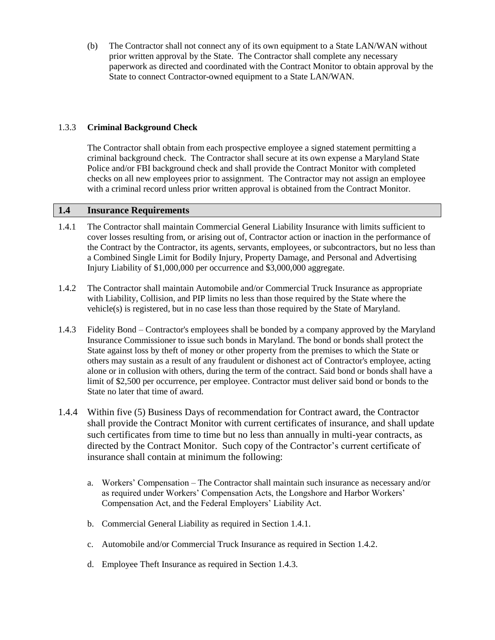(b) The Contractor shall not connect any of its own equipment to a State LAN/WAN without prior written approval by the State. The Contractor shall complete any necessary paperwork as directed and coordinated with the Contract Monitor to obtain approval by the State to connect Contractor-owned equipment to a State LAN/WAN.

#### 1.3.3 **Criminal Background Check**

The Contractor shall obtain from each prospective employee a signed statement permitting a criminal background check. The Contractor shall secure at its own expense a Maryland State Police and/or FBI background check and shall provide the Contract Monitor with completed checks on all new employees prior to assignment. The Contractor may not assign an employee with a criminal record unless prior written approval is obtained from the Contract Monitor.

### **1.4 Insurance Requirements**

- 1.4.1 The Contractor shall maintain Commercial General Liability Insurance with limits sufficient to cover losses resulting from, or arising out of, Contractor action or inaction in the performance of the Contract by the Contractor, its agents, servants, employees, or subcontractors, but no less than a Combined Single Limit for Bodily Injury, Property Damage, and Personal and Advertising Injury Liability of \$1,000,000 per occurrence and \$3,000,000 aggregate.
- 1.4.2 The Contractor shall maintain Automobile and/or Commercial Truck Insurance as appropriate with Liability, Collision, and PIP limits no less than those required by the State where the vehicle(s) is registered, but in no case less than those required by the State of Maryland.
- 1.4.3 Fidelity Bond Contractor's employees shall be bonded by a company approved by the Maryland Insurance Commissioner to issue such bonds in Maryland. The bond or bonds shall protect the State against loss by theft of money or other property from the premises to which the State or others may sustain as a result of any fraudulent or dishonest act of Contractor's employee, acting alone or in collusion with others, during the term of the contract. Said bond or bonds shall have a limit of \$2,500 per occurrence, per employee. Contractor must deliver said bond or bonds to the State no later that time of award.
- 1.4.4 Within five (5) Business Days of recommendation for Contract award, the Contractor shall provide the Contract Monitor with current certificates of insurance, and shall update such certificates from time to time but no less than annually in multi-year contracts, as directed by the Contract Monitor. Such copy of the Contractor's current certificate of insurance shall contain at minimum the following:
	- a. Workers' Compensation The Contractor shall maintain such insurance as necessary and/or as required under Workers' Compensation Acts, the Longshore and Harbor Workers' Compensation Act, and the Federal Employers' Liability Act.
	- b. Commercial General Liability as required in Section 1.4.1.
	- c. Automobile and/or Commercial Truck Insurance as required in Section 1.4.2.
	- d. Employee Theft Insurance as required in Section 1.4.3.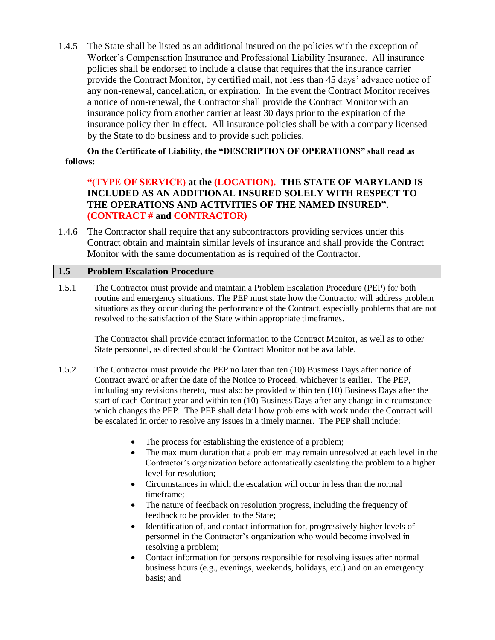1.4.5 The State shall be listed as an additional insured on the policies with the exception of Worker's Compensation Insurance and Professional Liability Insurance. All insurance policies shall be endorsed to include a clause that requires that the insurance carrier provide the Contract Monitor, by certified mail, not less than 45 days' advance notice of any non-renewal, cancellation, or expiration. In the event the Contract Monitor receives a notice of non-renewal, the Contractor shall provide the Contract Monitor with an insurance policy from another carrier at least 30 days prior to the expiration of the insurance policy then in effect. All insurance policies shall be with a company licensed by the State to do business and to provide such policies.

**On the Certificate of Liability, the "DESCRIPTION OF OPERATIONS" shall read as follows:**

# **"(TYPE OF SERVICE) at the (LOCATION). THE STATE OF MARYLAND IS INCLUDED AS AN ADDITIONAL INSURED SOLELY WITH RESPECT TO THE OPERATIONS AND ACTIVITIES OF THE NAMED INSURED". (CONTRACT # and CONTRACTOR)**

1.4.6 The Contractor shall require that any subcontractors providing services under this Contract obtain and maintain similar levels of insurance and shall provide the Contract Monitor with the same documentation as is required of the Contractor.

### **1.5 Problem Escalation Procedure**

1.5.1 The Contractor must provide and maintain a Problem Escalation Procedure (PEP) for both routine and emergency situations. The PEP must state how the Contractor will address problem situations as they occur during the performance of the Contract, especially problems that are not resolved to the satisfaction of the State within appropriate timeframes.

The Contractor shall provide contact information to the Contract Monitor, as well as to other State personnel, as directed should the Contract Monitor not be available.

- 1.5.2 The Contractor must provide the PEP no later than ten (10) Business Days after notice of Contract award or after the date of the Notice to Proceed, whichever is earlier. The PEP, including any revisions thereto, must also be provided within ten (10) Business Days after the start of each Contract year and within ten (10) Business Days after any change in circumstance which changes the PEP. The PEP shall detail how problems with work under the Contract will be escalated in order to resolve any issues in a timely manner. The PEP shall include:
	- The process for establishing the existence of a problem;
	- The maximum duration that a problem may remain unresolved at each level in the Contractor's organization before automatically escalating the problem to a higher level for resolution;
	- Circumstances in which the escalation will occur in less than the normal timeframe;
	- The nature of feedback on resolution progress, including the frequency of feedback to be provided to the State;
	- Identification of, and contact information for, progressively higher levels of personnel in the Contractor's organization who would become involved in resolving a problem;
	- Contact information for persons responsible for resolving issues after normal business hours (e.g., evenings, weekends, holidays, etc.) and on an emergency basis; and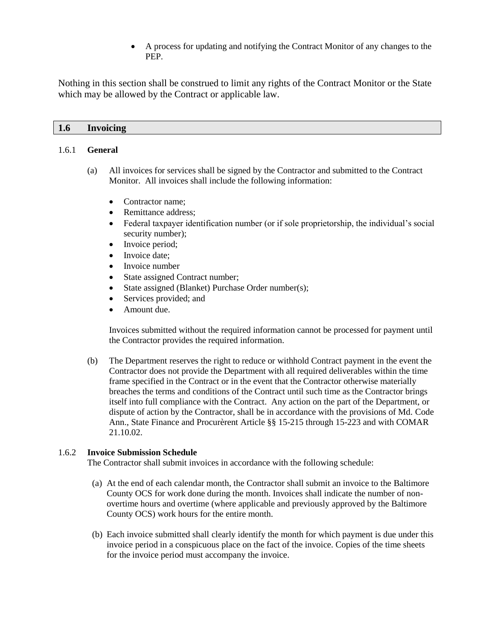A process for updating and notifying the Contract Monitor of any changes to the PEP.

Nothing in this section shall be construed to limit any rights of the Contract Monitor or the State which may be allowed by the Contract or applicable law.

#### **1.6 Invoicing**

#### 1.6.1 **General**

- (a) All invoices for services shall be signed by the Contractor and submitted to the Contract Monitor. All invoices shall include the following information:
	- Contractor name:
	- Remittance address:
	- Federal taxpayer identification number (or if sole proprietorship, the individual's social security number);
	- Invoice period;
	- Invoice date;
	- Invoice number
	- State assigned Contract number;
	- State assigned (Blanket) Purchase Order number(s);
	- Services provided; and
	- Amount due.

Invoices submitted without the required information cannot be processed for payment until the Contractor provides the required information.

(b) The Department reserves the right to reduce or withhold Contract payment in the event the Contractor does not provide the Department with all required deliverables within the time frame specified in the Contract or in the event that the Contractor otherwise materially breaches the terms and conditions of the Contract until such time as the Contractor brings itself into full compliance with the Contract. Any action on the part of the Department, or dispute of action by the Contractor, shall be in accordance with the provisions of Md. Code Ann., State Finance and Procurèrent Article §§ 15-215 through 15-223 and with COMAR 21.10.02.

#### 1.6.2 **Invoice Submission Schedule**

The Contractor shall submit invoices in accordance with the following schedule:

- (a) At the end of each calendar month, the Contractor shall submit an invoice to the Baltimore County OCS for work done during the month. Invoices shall indicate the number of nonovertime hours and overtime (where applicable and previously approved by the Baltimore County OCS) work hours for the entire month.
- (b) Each invoice submitted shall clearly identify the month for which payment is due under this invoice period in a conspicuous place on the fact of the invoice. Copies of the time sheets for the invoice period must accompany the invoice.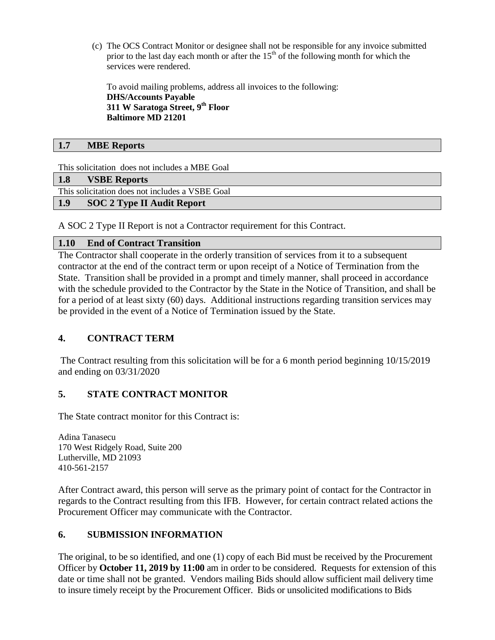(c) The OCS Contract Monitor or designee shall not be responsible for any invoice submitted prior to the last day each month or after the  $15<sup>th</sup>$  of the following month for which the services were rendered.

To avoid mailing problems, address all invoices to the following: **DHS/Accounts Payable 311 W Saratoga Street, 9th Floor Baltimore MD 21201**

## **1.7 MBE Reports**

This solicitation does not includes a MBE Goal

#### **1.8 VSBE Reports**

This solicitation does not includes a VSBE Goal

### **1.9 SOC 2 Type II Audit Report**

A SOC 2 Type II Report is not a Contractor requirement for this Contract.

### **1.10 End of Contract Transition**

The Contractor shall cooperate in the orderly transition of services from it to a subsequent contractor at the end of the contract term or upon receipt of a Notice of Termination from the State. Transition shall be provided in a prompt and timely manner, shall proceed in accordance with the schedule provided to the Contractor by the State in the Notice of Transition, and shall be for a period of at least sixty (60) days. Additional instructions regarding transition services may be provided in the event of a Notice of Termination issued by the State.

# **4. CONTRACT TERM**

The Contract resulting from this solicitation will be for a 6 month period beginning 10/15/2019 and ending on 03/31/2020

# **5. STATE CONTRACT MONITOR**

The State contract monitor for this Contract is:

Adina Tanasecu 170 West Ridgely Road, Suite 200 Lutherville, MD 21093 410-561-2157

After Contract award, this person will serve as the primary point of contact for the Contractor in regards to the Contract resulting from this IFB. However, for certain contract related actions the Procurement Officer may communicate with the Contractor.

# **6. SUBMISSION INFORMATION**

The original, to be so identified, and one (1) copy of each Bid must be received by the Procurement Officer by **October 11, 2019 by 11:00** am in order to be considered. Requests for extension of this date or time shall not be granted. Vendors mailing Bids should allow sufficient mail delivery time to insure timely receipt by the Procurement Officer. Bids or unsolicited modifications to Bids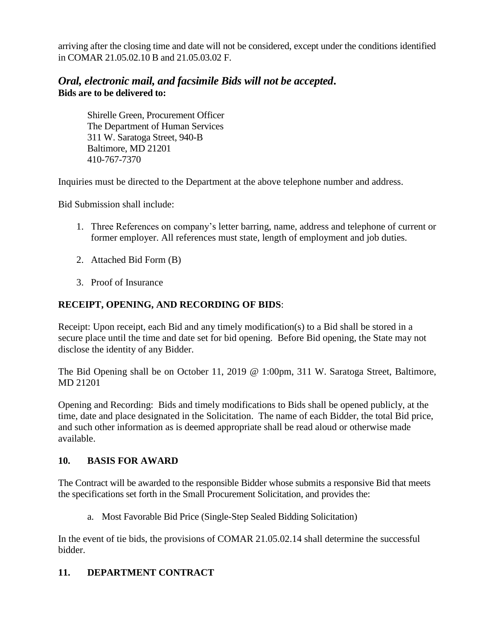arriving after the closing time and date will not be considered, except under the conditions identified in COMAR 21.05.02.10 B and 21.05.03.02 F.

# *Oral, electronic mail, and facsimile Bids will not be accepted***. Bids are to be delivered to:**

Shirelle Green, Procurement Officer The Department of Human Services 311 W. Saratoga Street, 940-B Baltimore, MD 21201 410-767-7370

Inquiries must be directed to the Department at the above telephone number and address.

Bid Submission shall include:

- 1. Three References on company's letter barring, name, address and telephone of current or former employer. All references must state, length of employment and job duties.
- 2. Attached Bid Form (B)
- 3. Proof of Insurance

# **RECEIPT, OPENING, AND RECORDING OF BIDS**:

Receipt: Upon receipt, each Bid and any timely modification(s) to a Bid shall be stored in a secure place until the time and date set for bid opening. Before Bid opening, the State may not disclose the identity of any Bidder.

The Bid Opening shall be on October 11, 2019 @ 1:00pm, 311 W. Saratoga Street, Baltimore, MD 21201

Opening and Recording: Bids and timely modifications to Bids shall be opened publicly, at the time, date and place designated in the Solicitation. The name of each Bidder, the total Bid price, and such other information as is deemed appropriate shall be read aloud or otherwise made available.

# **10. BASIS FOR AWARD**

The Contract will be awarded to the responsible Bidder whose submits a responsive Bid that meets the specifications set forth in the Small Procurement Solicitation, and provides the:

a. Most Favorable Bid Price (Single-Step Sealed Bidding Solicitation)

In the event of tie bids, the provisions of COMAR 21.05.02.14 shall determine the successful bidder.

# **11. DEPARTMENT CONTRACT**